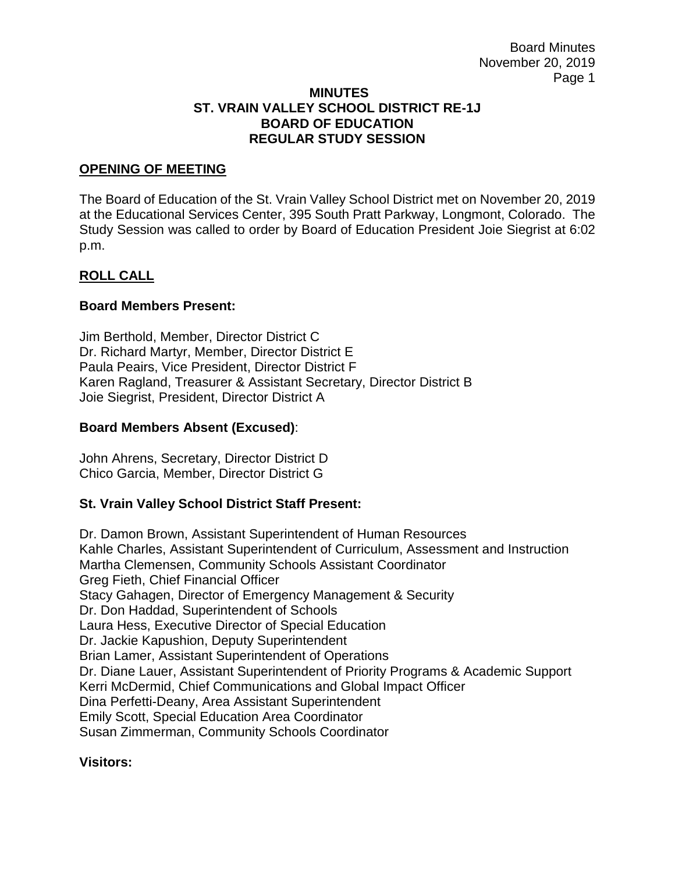#### **MINUTES ST. VRAIN VALLEY SCHOOL DISTRICT RE-1J BOARD OF EDUCATION REGULAR STUDY SESSION**

### **OPENING OF MEETING**

The Board of Education of the St. Vrain Valley School District met on November 20, 2019 at the Educational Services Center, 395 South Pratt Parkway, Longmont, Colorado. The Study Session was called to order by Board of Education President Joie Siegrist at 6:02 p.m.

## **ROLL CALL**

#### **Board Members Present:**

Jim Berthold, Member, Director District C Dr. Richard Martyr, Member, Director District E Paula Peairs, Vice President, Director District F Karen Ragland, Treasurer & Assistant Secretary, Director District B Joie Siegrist, President, Director District A

#### **Board Members Absent (Excused)**:

John Ahrens, Secretary, Director District D Chico Garcia, Member, Director District G

## **St. Vrain Valley School District Staff Present:**

Dr. Damon Brown, Assistant Superintendent of Human Resources Kahle Charles, Assistant Superintendent of Curriculum, Assessment and Instruction Martha Clemensen, Community Schools Assistant Coordinator Greg Fieth, Chief Financial Officer Stacy Gahagen, Director of Emergency Management & Security Dr. Don Haddad, Superintendent of Schools Laura Hess, Executive Director of Special Education Dr. Jackie Kapushion, Deputy Superintendent Brian Lamer, Assistant Superintendent of Operations Dr. Diane Lauer, Assistant Superintendent of Priority Programs & Academic Support Kerri McDermid, Chief Communications and Global Impact Officer Dina Perfetti-Deany, Area Assistant Superintendent Emily Scott, Special Education Area Coordinator Susan Zimmerman, Community Schools Coordinator

#### **Visitors:**